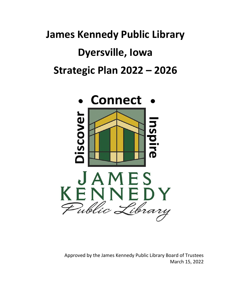# **James Kennedy Public Library Dyersville, Iowa Strategic Plan 2022 – 2026**



Approved by the James Kennedy Public Library Board of Trustees March 15, 2022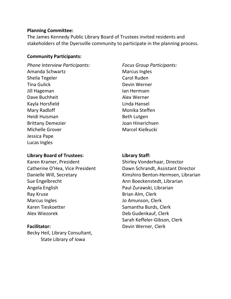## **Planning Committee:**

The James Kennedy Public Library Board of Trustees invited residents and stakeholders of the Dyersville community to participate in the planning process.

## **Community Participants:**

*Phone Interview Participants:* Amanda Schwartz Sheila Tegeler Tina Gulick Jill Hageman Dave Buchheit Kayla Horsfield Mary Radloff Heidi Huisman Brittany Demezier Michelle Grover Jessica Pape Lucas Ingles

# **Library Board of Trustees:**

Karen Kramer, President Catherine O'Hea, Vice President Danielle Will, Secretary Sue Engelbrecht Angela English Ray Kruse Marcus Ingles Karen Tieskoetter Alex Wiezorek

# **Facilitator:**

Becky Heil, Library Consultant, State Library of Iowa

*Focus Group Participants:* Marcus Ingles Carol Ruden Devin Werner Ian Hermsen Alex Werner Linda Hansel Monika Steffen Beth Lutgen Joan Hinerichsen Marcel Kielkucki

# **Library Staff:**

Shirley Vonderhaar, Director Dawn Schrandt, Assistant Director Kimshiro Benton-Hermsen, Librarian Ann Boeckenstedt, Librarian Paul Zurawski, Librarian Brian Alm, Clerk Jo Amunson, Clerk Samantha Burds, Clerk Deb Gudenkauf, Clerk Sarah Keffeler-Gibson, Clerk Devin Werner, Clerk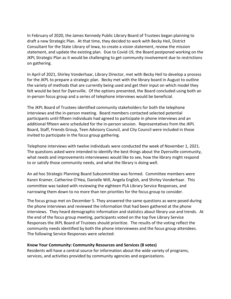In February of 2020, the James Kennedy Public Library Board of Trustees began planning to draft a new Strategic Plan. At that time, they decided to work with Becky Heil, District Consultant for the State Library of Iowa, to create a vision statement, review the mission statement, and update the existing plan. Due to Covid-19, the Board postponed working on the JKPL Strategic Plan as it would be challenging to get community involvement due to restrictions on gathering.

In April of 2021, Shirley Vonderhaar, Library Director, met with Becky Heil to develop a process for the JKPL to prepare a strategic plan. Becky met with the library board in August to outline the variety of methods that are currently being used and get their input on which model they felt would be best for Dyersville. Of the options presented, the Board concluded using both an in-person focus group and a series of telephone interviews would be beneficial.

The JKPL Board of Trustees identified community stakeholders for both the telephone interviews and the in-person meeting. Board members contacted selected potential participants until fifteen individuals had agreed to participate in phone interviews and an additional fifteen were scheduled for the in-person session. Representatives from the JKPL Board, Staff, Friends Group, Teen Advisory Council, and City Council were included in those invited to participate in the focus group gathering.

Telephone interviews with twelve individuals were conducted the week of November 1, 2021. The questions asked were intended to identify the best things about the Dyersville community, what needs and improvements interviewees would like to see, how the library might respond to or satisfy those community needs, and what the library is doing well.

An ad hoc Strategic Planning Board Subcommittee was formed. Committee members were Karen Kramer, Catherine O'Hea, Danielle Will, Angela English, and Shirley Vonderhaar. This committee was tasked with reviewing the eighteen PLA Library Service Responses, and narrowing them down to no more than ten priorities for the focus group to consider.

The focus group met on December 5. They answered the same questions as were posed during the phone interviews and reviewed the information that had been gathered at the phone interviews. They heard demographic information and statistics about library use and trends. At the end of the focus group meeting, participants voted on the top five Library Service Responses the JKPL Board of Trustees should prioritize. The results of the voting reflect the community needs identified by both the phone interviewees and the focus group attendees. The following Service Responses were selected:

#### **Know Your Community: Community Resources and Services (8 votes)**

Residents will have a central source for information about the wide variety of programs, services, and activities provided by community agencies and organizations.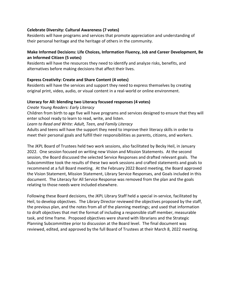#### **Celebrate Diversity: Cultural Awareness (7 votes)**

Residents will have programs and services that promote appreciation and understanding of their personal heritage and the heritage of others in the community.

### **Make Informed Decisions: Life Choices, Information Fluency, Job and Career Development, Be an Informed Citizen (5 votes)**

Residents will have the resources they need to identify and analyze risks, benefits, and alternatives before making decisions that affect their lives.

### **Express Creativity: Create and Share Content (4 votes)**

Residents will have the services and support they need to express themselves by creating original print, video, audio, or visual content in a real-world or online environment.

### **Literacy for All: blending two Literacy focused responses (4 votes)**

*Create Young Readers: Early Literacy*

Children from birth to age five will have programs and services designed to ensure that they will enter school ready to learn to read, write, and listen.

*Learn to Read and Write: Adult, Teen, and Family Literacy*

Adults and teens will have the support they need to improve their literacy skills in order to meet their personal goals and fulfill their responsibilities as parents, citizens, and workers.

The JKPL Board of Trustees held two work sessions, also facilitated by Becky Heil, in January 2022. One session focused on writing new Vision and Mission Statements. At the second session, the Board discussed the selected Service Responses and drafted relevant goals. The Subcommittee took the results of these two work sessions and crafted statements and goals to recommend at a full Board meeting. At the February 2022 Board meeting, the Board approved the Vision Statement, Mission Statement, Library Service Responses, and Goals included in this document. The Literacy for All Service Response was removed from the plan and the goals relating to those needs were included elsewhere.

Following these Board decisions, the JKPL Library Staff held a special in-service, facilitated by Heil, to develop objectives. The Library Director reviewed the objectives proposed by the staff, the previous plan, and the notes from all of the planning meetings; and used that information to draft objectives that met the format of including a responsible staff member, measurable task, and time frame. Proposed objectives were shared with librarians and the Strategic Planning Subcommittee prior to discussion at the Board level. The final document was reviewed, edited, and approved by the full Board of Trustees at their March 8, 2022 meeting.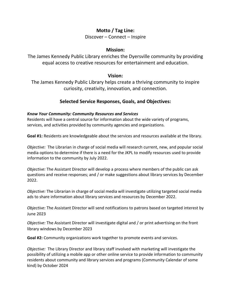# **Motto / Tag Line:**

Discover – Connect – Inspire

## **Mission:**

The James Kennedy Public Library enriches the Dyersville community by providing equal access to creative resources for entertainment and education.

## **Vision:**

The James Kennedy Public Library helps create a thriving community to inspire curiosity, creativity, innovation, and connection.

# **Selected Service Responses, Goals, and Objectives:**

## *Know Your Community: Community Resources and Services*

Residents will have a central source for information about the wide variety of programs, services, and activities provided by community agencies and organizations.

**Goal #1:** Residents are knowledgeable about the services and resources available at the library.

*Objective:* The Librarian in charge of social media will research current, new, and popular social media options to determine if there is a need for the JKPL to modify resources used to provide information to the community by July 2022.

*Objective:* The Assistant Director will develop a process where members of the public can ask questions and receive responses; and / or make suggestions about library services by December 2022.

*Objective:* The Librarian in charge of social media will investigate utilizing targeted social media ads to share information about library services and resources by December 2022.

*Objective:* The Assistant Director will send notifications to patrons based on targeted interest by June 2023

*Objective:* The Assistant Director will investigate digital and / or print advertising on the front library windows by December 2023

**Goal #2:** Community organizations work together to promote events and services.

*Objective:* The Library Director and library staff involved with marketing will investigate the possibility of utilizing a mobile app or other online service to provide information to community residents about community and library services and programs (Community Calendar of some kind) by October 2024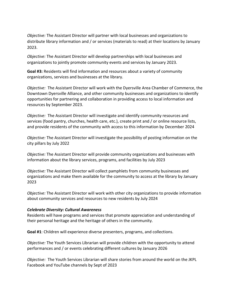*Objective:* The Assistant Director will partner with local businesses and organizations to distribute library information and / or services (materials to read) at their locations by January 2023.

*Objective:* The Assistant Director will develop partnerships with local businesses and organizations to jointly promote community events and services by January 2023.

**Goal #3:** Residents will find information and resources about a variety of community organizations, services and businesses at the library.

*Objective:* The Assistant Director will work with the Dyersville Area Chamber of Commerce, the Downtown Dyersville Alliance, and other community businesses and organizations to identify opportunities for partnering and collaboration in providing access to local information and resources by September 2023.

*Objective:* The Assistant Director will investigate and identify community resources and services (food pantry, churches, health care, etc.), create print and / or online resource lists, and provide residents of the community with access to this information by December 2024

*Objective:* The Assistant Director will investigate the possibility of posting information on the city pillars by July 2022

*Objective:* The Assistant Director will provide community organizations and businesses with information about the library services, programs, and facilities by July 2023

*Objective:* The Assistant Director will collect pamphlets from community businesses and organizations and make them available for the community to access at the library by January 2023

*Objective:* The Assistant Director will work with other city organizations to provide information about community services and resources to new residents by July 2024

#### *Celebrate Diversity: Cultural Awareness*

Residents will have programs and services that promote appreciation and understanding of their personal heritage and the heritage of others in the community.

**Goal #1**: Children will experience diverse presenters, programs, and collections.

*Objective:* The Youth Services Librarian will provide children with the opportunity to attend performances and / or events celebrating different cultures by January 2026

*Objective:* The Youth Services Librarian will share stories from around the world on the JKPL Facebook and YouTube channels by Sept of 2023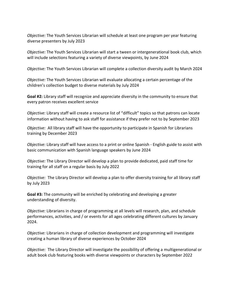*Objective:* The Youth Services Librarian will schedule at least one program per year featuring diverse presenters by July 2023

*Objective:* The Youth Services Librarian will start a tween or intergenerational book club, which will include selections featuring a variety of diverse viewpoints, by June 2024

*Objective:* The Youth Services Librarian will complete a collection diversity audit by March 2024

*Objective:* The Youth Services Librarian will evaluate allocating a certain percentage of the children's collection budget to diverse materials by July 2024

**Goal #2:** Library staff will recognize and appreciate diversity in the community to ensure that every patron receives excellent service

*Objective:* Library staff will create a resource list of "difficult" topics so that patrons can locate information without having to ask staff for assistance if they prefer not to by September 2023

*Objective:* All library staff will have the opportunity to participate in Spanish for Librarians training by December 2023

*Objective:* Library staff will have access to a print or online Spanish - English guide to assist with basic communication with Spanish language speakers by June 2024

*Objective:* The Library Director will develop a plan to provide dedicated, paid staff time for training for all staff on a regular basis by July 2022

*Objective:* The Library Director will develop a plan to offer diversity training for all library staff by July 2023

**Goal #3:** The community will be enriched by celebrating and developing a greater understanding of diversity.

*Objective:* Librarians in charge of programming at all levels will research, plan, and schedule performances, activities, and / or events for all ages celebrating different cultures by January 2024.

*Objective:* Librarians in charge of collection development and programming will investigate creating a human library of diverse experiences by October 2024

*Objective:* The Library Director will investigate the possibility of offering a multigenerational or adult book club featuring books with diverse viewpoints or characters by September 2022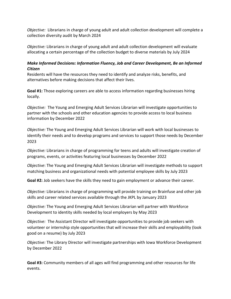*Objective:* Librarians in charge of young adult and adult collection development will complete a collection diversity audit by March 2024

*Objective:* Librarians in charge of young adult and adult collection development will evaluate allocating a certain percentage of the collection budget to diverse materials by July 2024

## *Make Informed Decisions: Information Fluency, Job and Career Development, Be an Informed Citizen*

Residents will have the resources they need to identify and analyze risks, benefits, and alternatives before making decisions that affect their lives.

**Goal #1:** Those exploring careers are able to access information regarding businesses hiring locally.

*Objective:* The Young and Emerging Adult Services Librarian will investigate opportunities to partner with the schools and other education agencies to provide access to local business information by December 2022

*Objective:* The Young and Emerging Adult Services Librarian will work with local businesses to identify their needs and to develop programs and services to support those needs by December 2023

*Objective:* Librarians in charge of programming for teens and adults will investigate creation of programs, events, or activities featuring local businesses by December 2022

*Objective*: The Young and Emerging Adult Services Librarian will investigate methods to support matching business and organizational needs with potential employee skills by July 2023

**Goal #2:** Job seekers have the skills they need to gain employment or advance their career.

*Objective:* Librarians in charge of programming will provide training on Brainfuse and other job skills and career related services available through the JKPL by January 2023

*Objective:* The Young and Emerging Adult Services Librarian will partner with Workforce Development to identity skills needed by local employers by May 2023

*Objective:* The Assistant Director will investigate opportunities to provide job seekers with volunteer or internship style opportunities that will increase their skills and employability (look good on a resume) by July 2023

*Objective:* The Library Director will investigate partnerships with Iowa Workforce Development by December 2022

**Goal #3:** Community members of all ages will find programming and other resources for life events.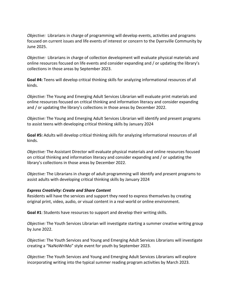*Objective:* Librarians in charge of programming will develop events, activities and programs focused on current issues and life events of interest or concern to the Dyersville Community by June 2025.

*Objective:* Librarians in charge of collection development will evaluate physical materials and online resources focused on life events and consider expanding and / or updating the library's collections in those areas by September 2023.

**Goal #4:** Teens will develop critical thinking skills for analyzing informational resources of all kinds.

*Objective:* The Young and Emerging Adult Services Librarian will evaluate print materials and online resources focused on critical thinking and information literacy and consider expanding and / or updating the library's collections in those areas by December 2022.

*Objective:* The Young and Emerging Adult Services Librarian will identify and present programs to assist teens with developing critical thinking skills by January 2024

**Goal #5:** Adults will develop critical thinking skills for analyzing informational resources of all kinds.

*Objective:* The Assistant Director will evaluate physical materials and online resources focused on critical thinking and information literacy and consider expanding and / or updating the library's collections in those areas by December 2022.

*Objective:* The Librarians in charge of adult programming will identify and present programs to assist adults with developing critical thinking skills by January 2024

#### *Express Creativity: Create and Share Content*

Residents will have the services and support they need to express themselves by creating original print, video, audio, or visual content in a real-world or online environment.

**Goal #1**: Students have resources to support and develop their writing skills.

*Objective:* The Youth Services Librarian will investigate starting a summer creative writing group by June 2022.

*Objective:* The Youth Services and Young and Emerging Adult Services Librarians will investigate creating a "NaNoWriMo" style event for youth by September 2023.

*Objective:* The Youth Services and Young and Emerging Adult Services Librarians will explore incorporating writing into the typical summer reading program activities by March 2023.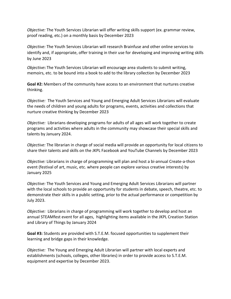*Objective:* The Youth Services Librarian will offer writing skills support (ex. grammar review, proof reading, etc.) on a monthly basis by December 2023

*Objective:* The Youth Services Librarian will research Brainfuse and other online services to identify and, if appropriate, offer training in their use for developing and improving writing skills by June 2023

*Objective***:** The Youth Services Librarian will encourage area students to submit writing, memoirs, etc. to be bound into a book to add to the library collection by December 2023

**Goal #2:** Members of the community have access to an environment that nurtures creative thinking.

*Objective:* The Youth Services and Young and Emerging Adult Services Librarians will evaluate the needs of children and young adults for programs, events, activities and collections that nurture creative thinking by December 2023

*Objective:* Librarians developing programs for adults of all ages will work together to create programs and activities where adults in the community may showcase their special skills and talents by January 2024.

*Objective:* The librarian in charge of social media will provide an opportunity for local citizens to share their talents and skills on the JKPL Facebook and YouTube Channels by December 2023

*Objective:* Librarians in charge of programming will plan and host a bi-annual Create-a-thon event (festival of art, music, etc. where people can explore various creative interests) by January 2025

*Objective:* The Youth Services and Young and Emerging Adult Services Librarians will partner with the local schools to provide an opportunity for students in debate, speech, theatre, etc. to demonstrate their skills in a public setting, prior to the actual performance or competition by July 2023.

*Objective:* Librarians in charge of programming will work together to develop and host an annual STEAMfest event for all ages, highlighting items available in the JKPL Creation Station and Library of Things by January 2024

**Goal #3:** Students are provided with S.T.E.M. focused opportunities to supplement their learning and bridge gaps in their knowledge.

*Objective:* The Young and Emerging Adult Librarian will partner with local experts and establishments (schools, colleges, other libraries) in order to provide access to S.T.E.M. equipment and expertise by December 2023.